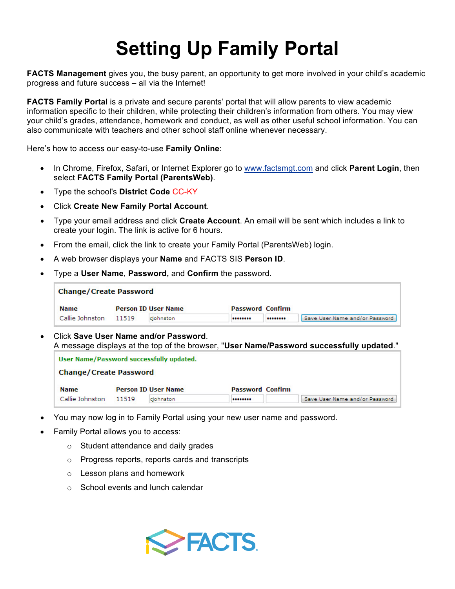## **Setting Up Family Portal**

**FACTS Management** gives you, the busy parent, an opportunity to get more involved in your child's academic progress and future success – all via the Internet!

**FACTS Family Portal** is a private and secure parents' portal that will allow parents to view academic information specific to their children, while protecting their children's information from others. You may view your child's grades, attendance, homework and conduct, as well as other useful school information. You can also communicate with teachers and other school staff online whenever necessary.

Here's how to access our easy-to-use **Family Online**:

- In Chrome, Firefox, Safari, or Internet Explorer go to www.factsmgt.com and click **Parent Login**, then select **FACTS Family Portal (ParentsWeb)**.
- Type the school's **District Code** CC-KY
- Click **Create New Family Portal Account**.
- Type your email address and click **Create Account**. An email will be sent which includes a link to create your login. The link is active for 6 hours.
- From the email, click the link to create your Family Portal (ParentsWeb) login.
- A web browser displays your **Name** and FACTS SIS **Person ID**.
- Type a **User Name**, **Password,** and **Confirm** the password.

| <b>Change/Create Password</b> |       |                            |                         |  |                                |  |  |  |  |  |
|-------------------------------|-------|----------------------------|-------------------------|--|--------------------------------|--|--|--|--|--|
| <b>Name</b>                   |       | <b>Person ID User Name</b> | <b>Password Confirm</b> |  |                                |  |  |  |  |  |
| Callie Johnston               | 11519 | cjohnston                  |                         |  | Save User Name and/or Password |  |  |  |  |  |

• Click **Save User Name and/or Password**. A message displays at the top of the browser, "**User Name/Password successfully updated**."

| User Name/Password successfully updated. |       |                            |                         |  |                                |  |  |  |  |  |
|------------------------------------------|-------|----------------------------|-------------------------|--|--------------------------------|--|--|--|--|--|
| <b>Change/Create Password</b>            |       |                            |                         |  |                                |  |  |  |  |  |
| <b>Name</b>                              |       | <b>Person ID User Name</b> | <b>Password Confirm</b> |  |                                |  |  |  |  |  |
| Callie Johnston                          | 11519 | ciohnston                  |                         |  | Save User Name and/or Password |  |  |  |  |  |

- You may now log in to Family Portal using your new user name and password.
- Family Portal allows you to access:
	- o Student attendance and daily grades
	- o Progress reports, reports cards and transcripts
	- o Lesson plans and homework
	- o School events and lunch calendar

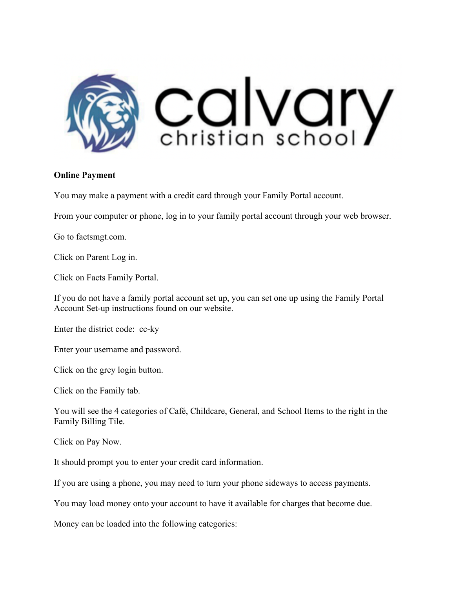

## **Online Payment**

You may make a payment with a credit card through your Family Portal account.

From your computer or phone, log in to your family portal account through your web browser.

Go to factsmgt.com.

Click on Parent Log in.

Click on Facts Family Portal.

If you do not have a family portal account set up, you can set one up using the Family Portal Account Set-up instructions found on our website.

Enter the district code: cc-ky

Enter your username and password.

Click on the grey login button.

Click on the Family tab.

You will see the 4 categories of Café, Childcare, General, and School Items to the right in the Family Billing Tile.

Click on Pay Now.

It should prompt you to enter your credit card information.

If you are using a phone, you may need to turn your phone sideways to access payments.

You may load money onto your account to have it available for charges that become due.

Money can be loaded into the following categories: